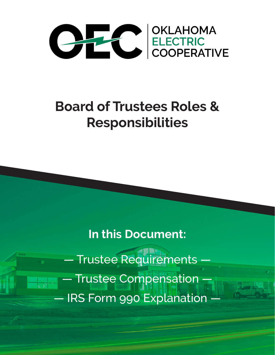

# **Board of Trustees Roles & Responsibilities**

**In this Document:**

— Trustee Requirements — — Trustee Compensation — — IRS Form 990 Explanation —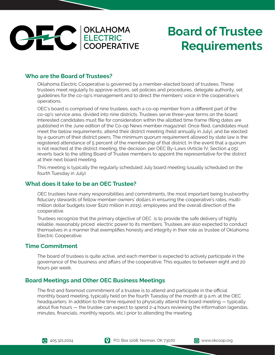

#### **Who are the Board of Trustees?**

Oklahoma Electric Cooperative is governed by a member-elected board of trustees. These trustees meet regularly to approve actions, set policies and procedures, delegate authority, set guidelines for the co-op's management and to direct the members' voice in the cooperative's operations.

OEC's board is comprised of nine trustees, each a co-op member from a different part of the co-op's service area, divided into nine districts. Trustees serve three-year terms on the board. Interested candidates must file for consideration within the allotted time frame (filing dates are published in the June edition of the Co-op News member magazine). Once filed, candidates must meet the below requirements, attend their district meeting (held annually in July), and be elected by a quorum of their district peers. The minimum quorum requirement allowed by state law is the registered attendance of 5 percent of the membership of that district. In the event that a quorum is not reached at the district meeting, the decision, per OEC By-Laws (Article IV, Section 4.05), reverts back to the sitting Board of Trustee members to appoint the representative for the district at their next board meeting.

This meeting is typically the regularly scheduled July board meeting (usually scheduled on the fourth Tuesday in July).

#### **What does it take to be an OEC Trustee?**

OEC trustees have many responsibilities and commitments, the most important being trustworthy fiduciary stewards of fellow member-owners' dollars in ensuring the cooperative's rates, multimillion dollar budgets (over \$120 million in 2015), employees and the overall direction of the cooperative.

Trustees recognize that the primary objective of OEC is to provide the safe delivery of highly reliable, reasonably priced electric power to its members. Trustees are also expected to conduct themselves in a manner that exemplifies honesty and integrity in their role as trustee of Oklahoma Electric Cooperative.

#### **Time Commitment**

The board of trustees is quite active, and each member is expected to actively participate in the governance of the business and affairs of the cooperative. This equates to between eight and 20 hours per week.

#### **Board Meetings and Other OEC Business Meetings**

The first and foremost commitment of a trustee is to attend and participate in the official monthly board meeting, typically held on the fourth Tuesday of the month at 9 a.m. at the OEC headquarters. In addition to the time required to physically attend the board meeting — typically about five hours — the trustee can expect to spend 2-4 hours reviewing the information (agendas, minutes, financials, monthly reports, etc.) prior to attending the meeting.



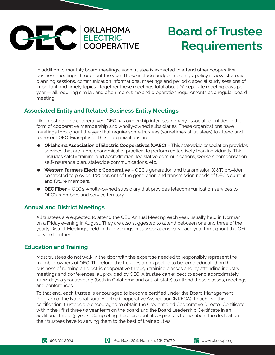

In addition to monthly board meetings, each trustee is expected to attend other cooperative business meetings throughout the year. These include budget meetings, policy review, strategic planning sessions, communication informational meetings and periodic special study sessions of important and timely topics. Together these meetings total about 20 separate meeting days per year — all requiring similar, and often more, time and preparation requirements as a regular board meeting.

### **Associated Entity and Related Business Entity Meetings**

Like most electric cooperatives, OEC has ownership interests in many associated entities in the form of cooperative membership and wholly-owned subsidiaries. These organizations have meetings throughout the year that require some trustees (sometimes all trustees) to attend and represent OEC. Examples of these organizations are:

- **Oklahoma Association of Electric Cooperatives (OAEC)** This statewide association provides services that are more economical or practical to perform collectively than individually. This includes safety training and accreditation, legislative communications, workers compensation self-insurance plan, statewide communications, etc.
- **Western Farmers Electric Cooperative** OEC's generation and transmission (G&T) provider contracted to provide 100 percent of the generation and transmission needs of OEC's current and future members.
- **OEC Fiber** OEC's wholly-owned subsidiary that provides telecommunication services to OEC's members and service territory.

#### **Annual and District Meetings**

All trustees are expected to attend the OEC Annual Meeting each year, usually held in Norman on a Friday evening in August. They are also suggested to attend between one and three of the yearly District Meetings, held in the evenings in July (locations vary each year throughout the OEC service territory).

#### **Education and Training**

Most trustees do not walk in the door with the expertise needed to responsibly represent the member-owners of OEC. Therefore, the trustees are expected to become educated on the business of running an electric cooperative through training classes and by attending industry meetings and conferences, all provided by OEC. A trustee can expect to spend approximately 10-14 days a year traveling (both in Oklahoma and out-of-state) to attend these classes, meetings and conferences.

To that end, each trustee is encouraged to become certified under the Board Management Program of the National Rural Electric Cooperative Association (NRECA). To achieve this certification, trustees are encouraged to obtain the Credentialed Cooperative Director Certificate within their first three (3) year term on the board and the Board Leadership Certificate in an additional three (3) years. Completing these credentials expresses to members the dedication their trustees have to serving them to the best of their abilities.



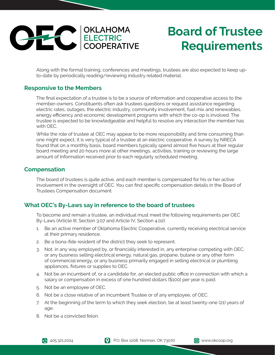

Along with the formal training, conferences and meetings, trustees are also expected to keep upto-date by periodically reading/reviewing industry related material.

#### **Responsive to the Members**

The final expectation of a trustee is to be a source of information and cooperative access to the member-owners. Constituents often ask trustees questions or request assistance regarding electric rates, outages, the electric industry, community involvement, fuel mix and renewables, energy efficiency and economic development programs with which the co-op is involved. The trustee is expected to be knowledgeable and helpful to resolve any interaction the member has with OEC.

While the role of trustee at OEC may appear to be more responsibility and time consuming than one might expect, it is very typical of a trustee at an electric cooperative. A survey by NRECA found that on a monthly basis, board members typically spend almost five hours at their regular board meeting and 20 hours more at other meetings, activities, training or reviewing the large amount of Information received prior to each regularly scheduled meeting.

#### **Compensation**

The board of trustees is quite active, and each member is compensated for his or her active involvement in the oversight of OEC. You can find specific compensation details in the Board of Trustees Compensation document.

### **What OEC's By-Laws say in reference to the board of trustees**

To become and remain a trustee, an individual must meet the following requirements per OEC By-Laws (Article III, Section 3.07 and Article IV, Section 4.02):

- 1. Be an active member of Oklahoma Electric Cooperative, currently receiving electrical service at their primary residence.
- 2. Be a bona-fide resident of the district they seek to represent.
- 3. Not, in any way employed by, or financially interested in, any enterprise competing with OEC, or any business selling electrical energy, natural gas, propane, butane or any other form of commercial energy, or any business primarily engaged in selling electrical or plumbing appliances, fixtures or supplies to OEC.
- 4. Not be an incumbent of, or a candidate for, an elected public office in connection with which a salary or compensation in excess of one hundred dollars (\$100) per year is paid.
- 5. Not be an employee of OEC.
- 6. Not be a close relative of an incumbent Trustee or of any employee, of OEC.
- 7. At the beginning of the term to which they seek election, be at least twenty-one (21) years of age.
- 8. Not be a convicted felon.

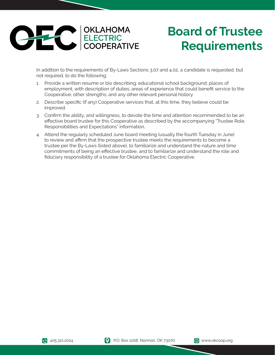

In addition to the requirements of By-Laws Sections 3.07 and 4.02, a candidate is requested, but not required, to do the following:

- 1. Provide a written resume or bio describing: educational school background; places of employment, with description of duties; areas of experience that could benefit service to the Cooperative; other strengths; and any other relevant personal history.
- 2. Describe specific (if any) Cooperative services that, at this time, they believe could be improved.
- 3. Confirm the ability, and willingness, to devote the time and attention recommended to be an effective board trustee for this Cooperative as described by the accompanying "Trustee Role, Responsibilities and Expectations" information.
- 4. Attend the regularly scheduled June board meeting (usually the fourth Tuesday in June) to review and affirm that the prospective trustee meets the requirements to become a trustee per the By-Laws (listed above), to familiarize and understand the nature and time commitments of being an effective trustee, and to familiarize and understand the role and fiduciary responsibility of a trustee for Oklahoma Electric Cooperative.



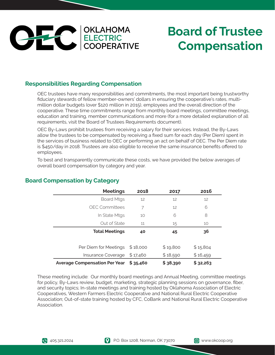

## **Board of Trustee Compensation**

### **Responsibilities Regarding Compensation**

OEC trustees have many responsibilities and commitments, the most important being trustworthy fiduciary stewards of fellow member-owners' dollars in ensuring the cooperative's rates, multimillion dollar budgets (over \$120 million in 2015), employees and the overall direction of the cooperative. These time commitments range from monthly board meetings, committee meetings, education and training, member communications and more (for a more detailed explanation of all requirements, visit the Board of Trustees Requirements document).

OEC By-Laws prohibit trustees from receiving a salary for their services. Instead, the By-Laws allow the trustees to be compensated by receiving a fixed sum for each day (Per Diem) spent in the services of business related to OEC or performing an act on behalf of OEC. The Per Diem rate is \$450/day in 2018. Trustees are also eligible to receive the same insurance benefits offered to employees.

To best and transparently communicate these costs, we have provided the below averages of overall board compensation by category and year.

| <b>Meetings</b>                      | 2018     | 2017     | 2016     |
|--------------------------------------|----------|----------|----------|
| <b>Board Mtgs</b>                    | 12       | 12       | 12       |
| <b>OEC Committees</b>                | 7        | 12       | 6        |
| In State Mtgs                        | 10       | 6        | 8        |
| Out of State                         | 11       | 15       | 10       |
| <b>Total Meetings</b>                | 40       | 45       | 36       |
| Per Diem for Meetings                | \$18,000 | \$19,800 | \$15,804 |
| Insurance Coverage                   | \$17,460 | \$18,590 | \$16,459 |
| <b>Average Compensation Per Year</b> | \$35,460 | \$38,390 | \$32,263 |

### **Board Compensation by Category**

These meeting include: Our monthly board meetings and Annual Meeting, committee meetings for policy, By-Laws review, budget, marketing, strategic planning sessions on governance, fiber, and security topics; In-state meetings and training hosted by Oklahoma Association of Electric Cooperatives, Western Farmers Electric Cooperative and National Rural Electric Cooperative Association; Out-of-state training hosted by CFC, CoBank and National Rural Electric Cooperative Association.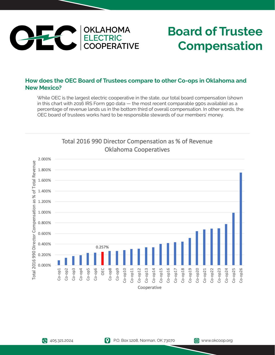

## **Board of Trustee Compensation**

### **How does the OEC Board of Trustees compare to other Co-ops in Oklahoma and New Mexico?**

While OEC is the largest electric cooperative in the state, our total board compensation (shown in this chart with 2016 IRS Form 990 data — the most recent comparable 990s available) as a percentage of revenue lands us in the bottom third of overall compensation. In other words, the OEC board of trustees works hard to be responsible stewards of our members' money.



Total 2016 990 Director Compensation as % of Revenue **Oklahoma Cooperatives**